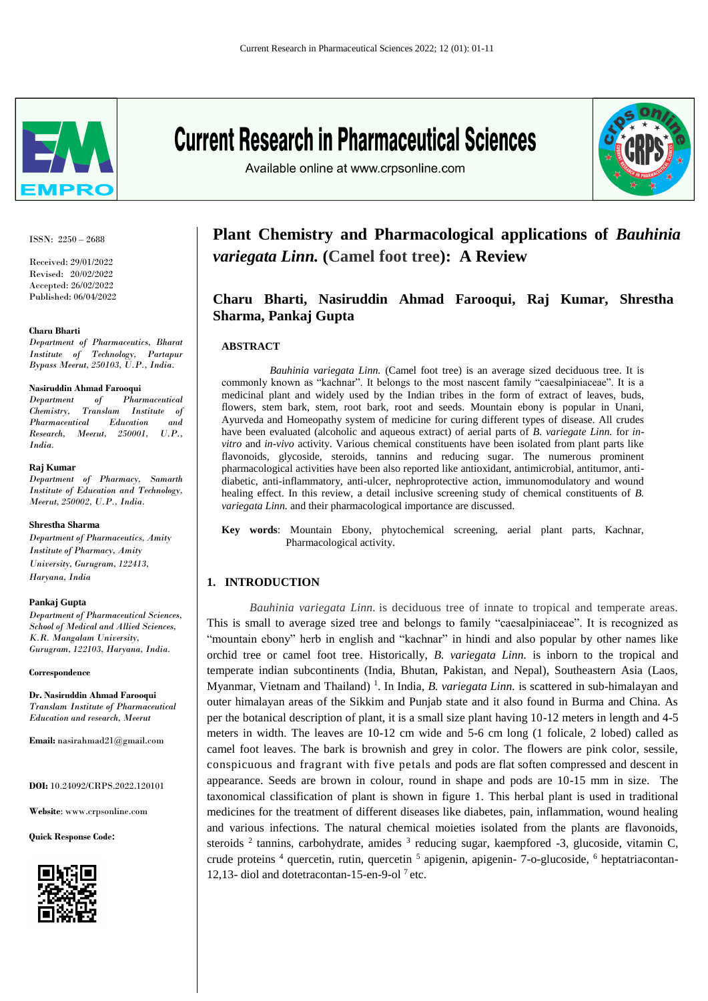

ISSN: 2250 – 2688

Received: 29/01/2022 Revised: 20/02/2022 Accepted: 26/02/2022 Published: 06/04/2022

#### **Charu Bharti**

*Department of Pharmaceutics, Bharat Institute of Technology, Partapur Bypass Meerut, 250103, U.P., India.*

#### **Nasiruddin Ahmad Farooqui**

*Department of Pharmaceutical Chemistry, Translam Institute of Pharmaceutical Education and Research, Meerut, 250001, U.P., India.*

#### **Raj Kumar**

*Department of Pharmacy, Samarth Institute of Education and Technology, Meerut, 250002, U.P., India.*

#### **Shrestha Sharma**

*Department of Pharmaceutics, Amity Institute of Pharmacy, Amity University, Gurugram, 122413, Haryana, India*

#### **Pankaj Gupta**

*Department of Pharmaceutical Sciences, School of Medical and Allied Sciences, K.R. Mangalam University, Gurugram, 122103, Haryana, India.*

**Correspondence**

**Dr. Nasiruddin Ahmad Farooqui** *Translam Institute of Pharmaceutical Education and research, Meerut*

**Email:** [nasirahmad21@gmail.com](mailto:nasirahmad21@gmail.com)

**DOI:** 10.24092/CRPS.2022.120101

**Website**: www.crpsonline.com

**Quick Response Code:**



# **Current Research in Pharmaceutical Sciences**

Available online at www.crpsonline.com



# **Plant Chemistry and Pharmacological applications of** *Bauhinia variegata Linn.* **(Camel foot tree): A Review**

# **Charu Bharti, Nasiruddin Ahmad Farooqui, Raj Kumar, Shrestha Sharma, Pankaj Gupta**

#### **ABSTRACT**

 *Bauhinia variegata Linn.* (Camel foot tree) is an average sized deciduous tree. It is commonly known as "kachnar". It belongs to the most nascent family "caesalpiniaceae". It is a medicinal plant and widely used by the Indian tribes in the form of extract of leaves, buds, flowers, stem bark, stem, root bark, root and seeds. Mountain ebony is popular in Unani, Ayurveda and Homeopathy system of medicine for curing different types of disease. All crudes have been evaluated (alcoholic and aqueous extract) of aerial parts of *B. variegate Linn.* for *invitro* and *in-vivo* activity. Various chemical constituents have been isolated from plant parts like flavonoids, glycoside, steroids, tannins and reducing sugar. The numerous prominent pharmacological activities have been also reported like antioxidant, antimicrobial, antitumor, antidiabetic, anti-inflammatory, anti-ulcer, nephroprotective action, immunomodulatory and wound healing effect. In this review, a detail inclusive screening study of chemical constituents of *B. variegata Linn.* and their pharmacological importance are discussed.

**Key words**: Mountain Ebony, phytochemical screening, aerial plant parts, Kachnar, Pharmacological activity.

# **1. INTRODUCTION**

*Bauhinia variegata Linn.* is deciduous tree of innate to tropical and temperate areas. This is small to average sized tree and belongs to family "caesalpiniaceae". It is recognized as "mountain ebony" herb in english and "kachnar" in hindi and also popular by other names like orchid tree or camel foot tree. Historically, *B. variegata Linn.* is inborn to the tropical and temperate indian subcontinents (India, Bhutan, Pakistan, and Nepal), Southeastern Asia (Laos, Myanmar, Vietnam and Thailand)<sup>1</sup>. In India, *B. variegata Linn*. is scattered in sub-himalayan and outer himalayan areas of the Sikkim and Punjab state and it also found in Burma and China. As per the botanical description of plant, it is a small size plant having 10-12 meters in length and 4-5 meters in width. The leaves are 10-12 cm wide and 5-6 cm long (1 folicale, 2 lobed) called as camel foot leaves. The bark is brownish and grey in color. The flowers are pink color, sessile, conspicuous and fragrant with five petals and pods are flat soften compressed and descent in appearance. Seeds are brown in colour, round in shape and pods are 10-15 mm in size. The taxonomical classification of plant is shown in figure 1. This herbal plant is used in traditional medicines for the treatment of different diseases like diabetes, pain, inflammation, wound healing and various infections. The natural chemical moieties isolated from the plants are flavonoids, steroids  $2$  tannins, carbohydrate, amides  $3$  reducing sugar, kaempfored  $-3$ , glucoside, vitamin C, crude proteins <sup>4</sup> quercetin, rutin, quercetin <sup>5</sup> apigenin, apigenin- 7-o-glucoside, <sup>6</sup> heptatriacontan-12,13- diol and dotetracontan-15-en-9-ol<sup> $7$ </sup> etc.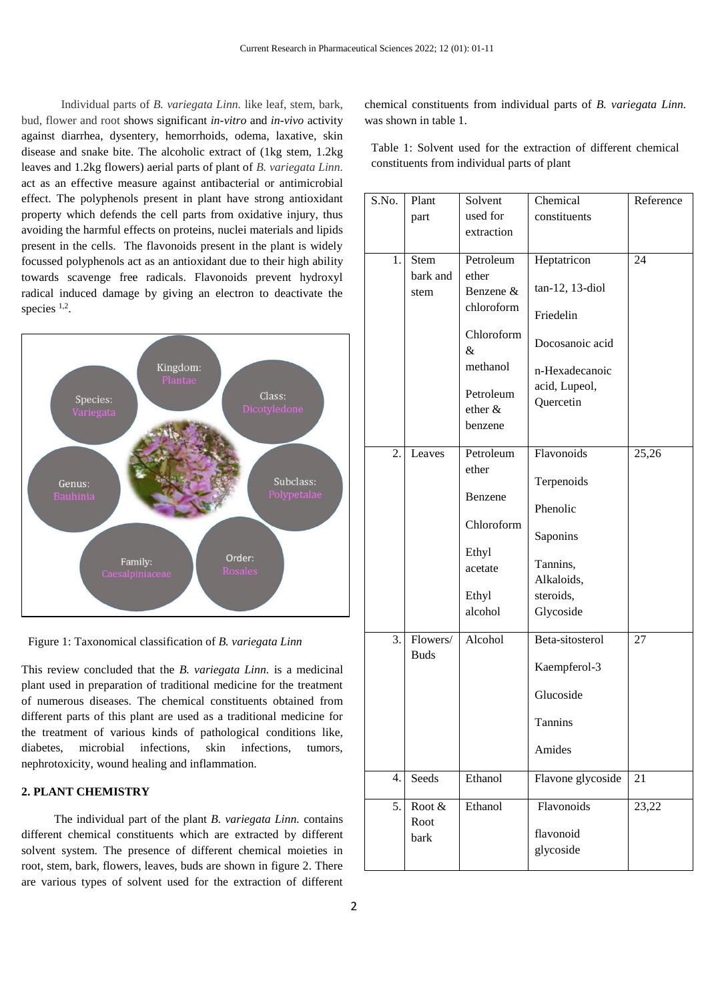Individual parts of *B. variegata Linn.* like leaf, stem, bark, bud, flower and root shows significant *in-vitro* and *in-vivo* activity against diarrhea, dysentery, hemorrhoids, odema, laxative, skin disease and snake bite. The alcoholic extract of (1kg stem, 1.2kg leaves and 1.2kg flowers) aerial parts of plant of *B. variegata Linn.*  act as an effective measure against antibacterial or antimicrobial effect. The polyphenols present in plant have strong antioxidant property which defends the cell parts from oxidative injury, thus avoiding the harmful effects on proteins, nuclei materials and lipids present in the cells. The flavonoids present in the plant is widely focussed polyphenols act as an antioxidant due to their high ability towards scavenge free radicals. Flavonoids prevent hydroxyl radical induced damage by giving an electron to deactivate the species <sup>1,2</sup>.



Figure 1: Taxonomical classification of *B. variegata Linn*

This review concluded that the *B. variegata Linn.* is a medicinal plant used in preparation of traditional medicine for the treatment of numerous diseases. The chemical constituents obtained from different parts of this plant are used as a traditional medicine for the treatment of various kinds of pathological conditions like, diabetes, microbial infections, skin infections, tumors, nephrotoxicity, wound healing and inflammation.

# **2. PLANT CHEMISTRY**

 The individual part of the plant *B. variegata Linn.* contains different chemical constituents which are extracted by different solvent system. The presence of different chemical moieties in root, stem, bark, flowers, leaves, buds are shown in figure 2. There are various types of solvent used for the extraction of different chemical constituents from individual parts of *B. variegata Linn.* was shown in table 1.

Table 1: Solvent used for the extraction of different chemical constituents from individual parts of plant

| S.No. | Plant       | Solvent         | Chemical          | Reference |
|-------|-------------|-----------------|-------------------|-----------|
|       | part        | used for        | constituents      |           |
|       |             | extraction      |                   |           |
|       |             |                 |                   |           |
| 1.    | Stem        | Petroleum       | Heptatricon       | 24        |
|       | bark and    | ether           | tan-12, 13-diol   |           |
|       | stem        | Benzene &       |                   |           |
|       |             | chloroform      | Friedelin         |           |
|       |             | Chloroform<br>& | Docosanoic acid   |           |
|       |             | methanol        | n-Hexadecanoic    |           |
|       |             |                 | acid, Lupeol,     |           |
|       |             | Petroleum       | Quercetin         |           |
|       |             | ether &         |                   |           |
|       |             | benzene         |                   |           |
| 2.    | Leaves      | Petroleum       | Flavonoids        | 25,26     |
|       |             | ether           |                   |           |
|       |             |                 | Terpenoids        |           |
|       |             | Benzene         | Phenolic          |           |
|       |             | Chloroform      |                   |           |
|       |             |                 | Saponins          |           |
|       |             | Ethyl           |                   |           |
|       |             | acetate         | Tannins,          |           |
|       |             |                 | Alkaloids,        |           |
|       |             | Ethyl           | steroids,         |           |
|       |             | alcohol         | Glycoside         |           |
| 3.    | Flowers/    | Alcohol         | Beta-sitosterol   | 27        |
|       | <b>Buds</b> |                 |                   |           |
|       |             |                 | Kaempferol-3      |           |
|       |             |                 | Glucoside         |           |
|       |             |                 | Tannins           |           |
|       |             |                 | Amides            |           |
|       |             |                 |                   |           |
| 4.    | Seeds       | Ethanol         | Flavone glycoside | 21        |
| 5.    | Root $&$    | Ethanol         | Flavonoids        | 23,22     |
|       | Root        |                 | flavonoid         |           |
|       | bark        |                 | glycoside         |           |
|       |             |                 |                   |           |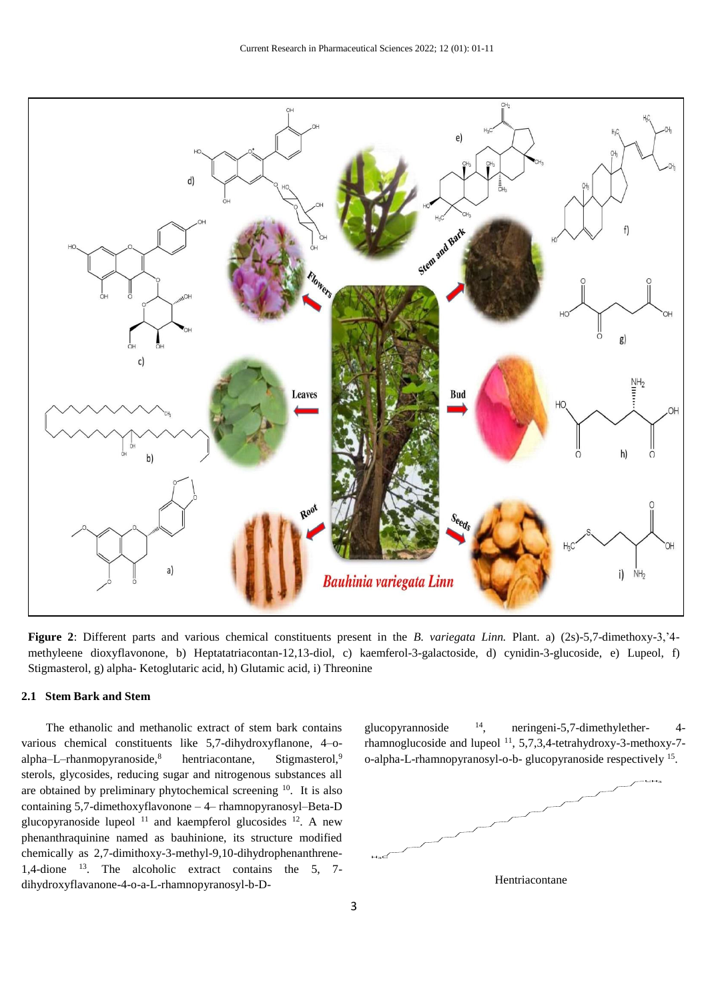

**Figure 2**: Different parts and various chemical constituents present in the *B. variegata Linn.* Plant. a) (2s)-5,7-dimethoxy-3,'4 methyleene dioxyflavonone, b) Heptatatriacontan-12,13-diol, c) kaemferol-3-galactoside, d) cynidin-3-glucoside, e) Lupeol, f) Stigmasterol, g) alpha- Ketoglutaric acid, h) Glutamic acid, i) Threonine

# **2.1 Stem Bark and Stem**

 The ethanolic and methanolic extract of stem bark contains various chemical constituents like 5,7-dihydroxyflanone, 4–oalpha–L–rhanmopyranoside, $8$  hentriacontane, Stigmasterol, $9$ sterols, glycosides, reducing sugar and nitrogenous substances all are obtained by preliminary phytochemical screening <sup>10</sup>. It is also containing 5,7-dimethoxyflavonone – 4– rhamnopyranosyl–Beta-D glucopyranoside lupeol  $11$  and kaempferol glucosides  $12$ . A new phenanthraquinine named as bauhinione, its structure modified chemically as 2,7-dimithoxy-3-methyl-9,10-dihydrophenanthrene-1,4-dione <sup>13</sup>. The alcoholic extract contains the 5, 7 dihydroxyflavanone-4-o-a-L-rhamnopyranosyl-b-D-

glucopyrannoside  $14$ , neringeni-5,7-dimethylether- 4rhamnoglucoside and lupeol<sup>11</sup>, 5,7,3,4-tetrahydroxy-3-methoxy-7o-alpha-L-rhamnopyranosyl-o-b- glucopyranoside respectively 15.



Hentriacontane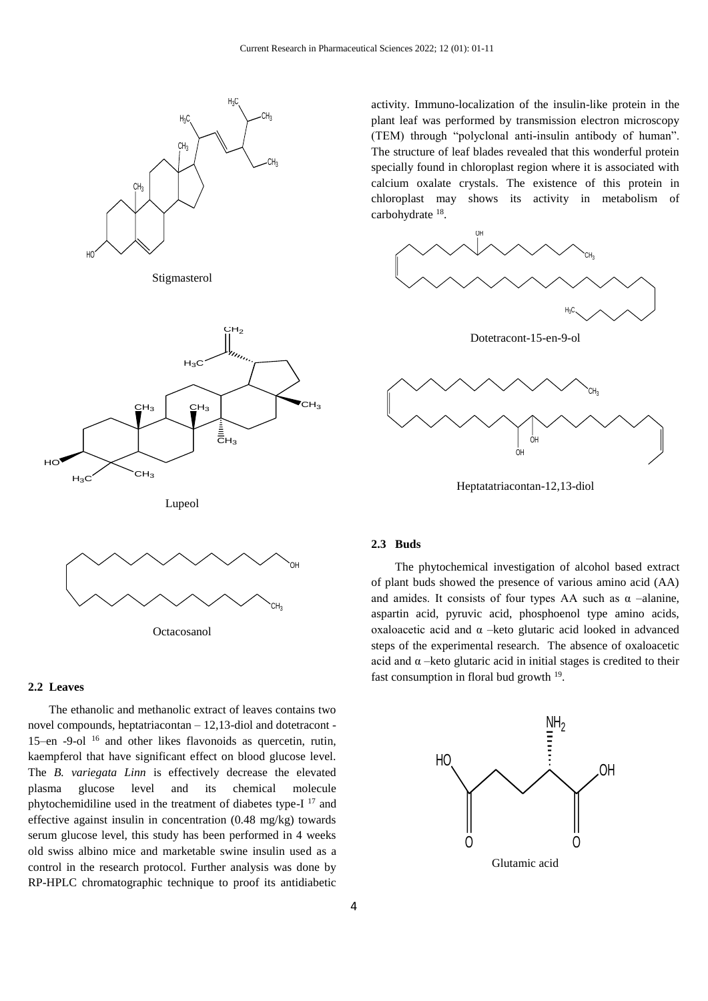

Stigmasterol



activity. Immuno-localization of the insulin-like protein in the plant leaf was performed by transmission electron microscopy (TEM) through "polyclonal anti-insulin antibody of human". The structure of leaf blades revealed that this wonderful protein specially found in chloroplast region where it is associated with calcium oxalate crystals. The existence of this protein in chloroplast may shows its activity in metabolism of carbohydrate 18.







Heptatatriacontan-12,13-diol





Octacosanol

#### **2.2 Leaves**

 The ethanolic and methanolic extract of leaves contains two novel compounds, heptatriacontan – 12,13-diol and dotetracont - 15–en -9-ol <sup>16</sup> and other likes flavonoids as quercetin, rutin, kaempferol that have significant effect on blood glucose level. The *B. variegata Linn* is effectively decrease the elevated plasma glucose level and its chemical molecule phytochemidiline used in the treatment of diabetes type-I <sup>17</sup> and effective against insulin in concentration (0.48 mg/kg) towards serum glucose level, this study has been performed in 4 weeks old swiss albino mice and marketable swine insulin used as a control in the research protocol. Further analysis was done by RP-HPLC chromatographic technique to proof its antidiabetic

# **2.3 Buds**

 The phytochemical investigation of alcohol based extract of plant buds showed the presence of various amino acid (AA) and amides. It consists of four types AA such as  $\alpha$  –alanine, aspartin acid, pyruvic acid, phosphoenol type amino acids, oxaloacetic acid and α –keto glutaric acid looked in advanced steps of the experimental research. The absence of oxaloacetic acid and  $\alpha$  –keto glutaric acid in initial stages is credited to their fast consumption in floral bud growth  $19$ .

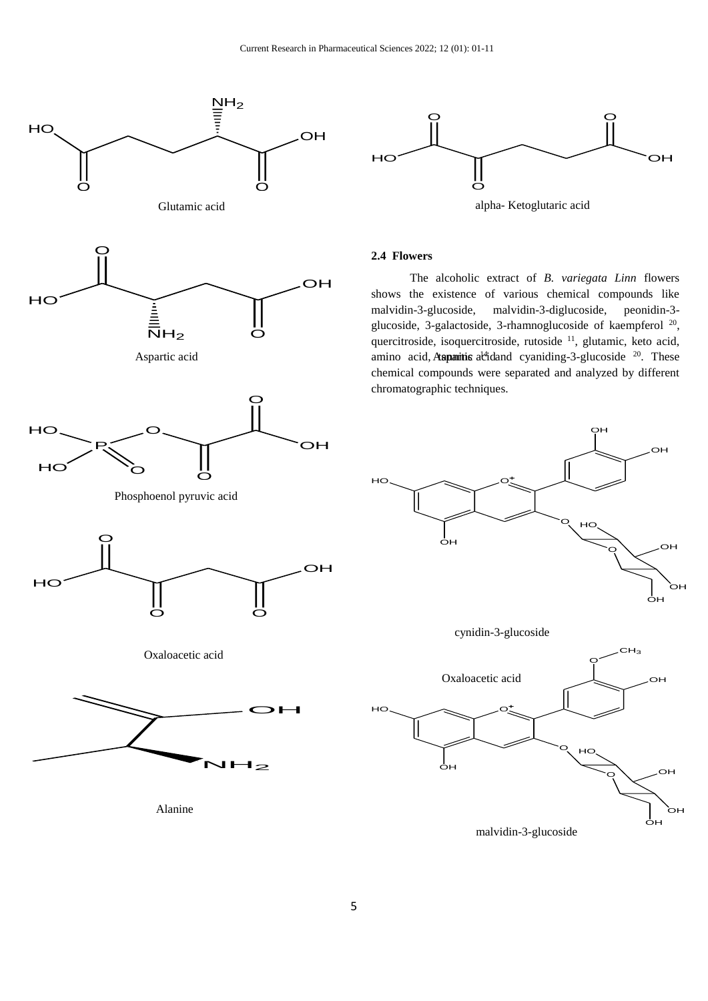



# **2.4 Flowers**

 The alcoholic extract of *B. variegata Linn* flowers shows the existence of various chemical compounds like malvidin-3-glucoside, malvidin-3-diglucoside, peonidin-3 glucoside, 3-galactoside, 3-rhamnoglucoside of kaempferol<sup>20</sup>, quercitroside, isoquercitroside, rutoside <sup>11</sup>, glutamic, keto acid, chemical compounds were separated and analyzed by different chromatographic techniques.



O

malvidin-3-glucoside

HO

<sup>O</sup> OH

OH

oн

OH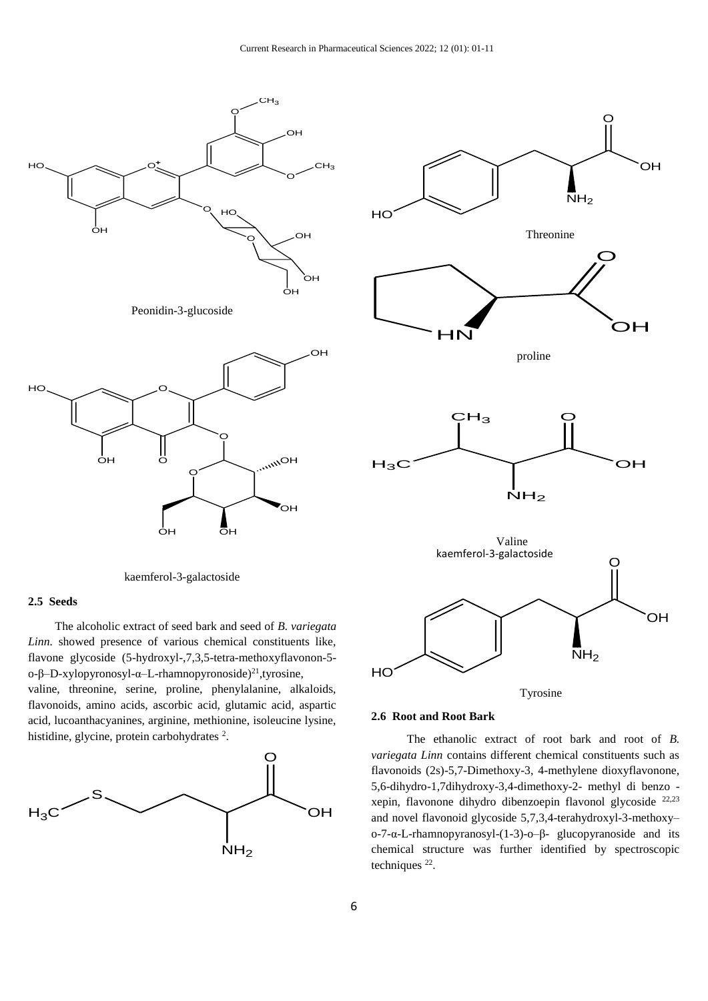



kaemferol-3-galactoside

#### **2.5 Seeds**

 The alcoholic extract of seed bark and seed of *B. variegata Linn.* showed presence of various chemical constituents like, flavone glycoside (5-hydroxyl-,7,3,5-tetra-methoxyflavonon-5 o-β–D-xylopyronosyl-α–L-rhamnopyronoside)<sup>21</sup>, tyrosine, valine, threonine, serine, proline, phenylalanine, alkaloids, flavonoids, amino acids, ascorbic acid, glutamic acid, aspartic acid, lucoanthacyanines, arginine, methionine, isoleucine lysine, histidine, glycine, protein carbohydrates<sup>2</sup>.





#### **2.6 Root and Root Bark**

 The ethanolic extract of root bark and root of *B. variegata Linn* contains different chemical constituents such as flavonoids (2s)-5,7-Dimethoxy-3, 4-methylene dioxyflavonone, 5,6-dihydro-1,7dihydroxy-3,4-dimethoxy-2- methyl di benzo xepin, flavonone dihydro dibenzoepin flavonol glycoside 22,23 and novel flavonoid glycoside 5,7,3,4-terahydroxyl-3-methoxy– o-7-α-L-rhamnopyranosyl-(1-3)-o–β- glucopyranoside and its chemical structure was further identified by spectroscopic techniques  $^{22}$ .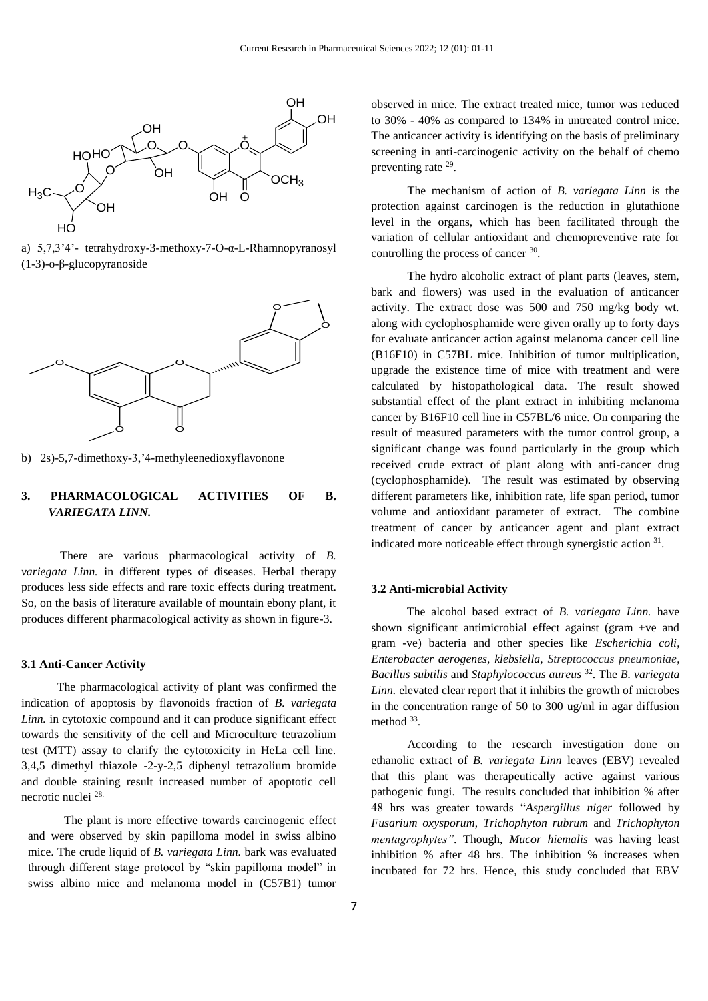

a) 5,7,3'4'- tetrahydroxy-3-methoxy-7-O-α-L-Rhamnopyranosyl (1-3)-o-β-glucopyranoside



b) 2s)-5,7-dimethoxy-3,'4-methyleenedioxyflavonone

# **3. PHARMACOLOGICAL ACTIVITIES OF B.** *VARIEGATA LINN.*

 There are various pharmacological activity of *B. variegata Linn.* in different types of diseases. Herbal therapy produces less side effects and rare toxic effects during treatment. So, on the basis of literature available of mountain ebony plant, it produces different pharmacological activity as shown in figure-3.

#### **3.1 Anti-Cancer Activity**

 The pharmacological activity of plant was confirmed the indication of apoptosis by flavonoids fraction of *B. variegata Linn.* in cytotoxic compound and it can produce significant effect towards the sensitivity of the cell and Microculture tetrazolium test (MTT) assay to clarify the cytotoxicity in HeLa cell line. 3,4,5 dimethyl thiazole -2-y-2,5 diphenyl tetrazolium bromide and double staining result increased number of apoptotic cell necrotic nuclei 28.

The plant is more effective towards carcinogenic effect and were observed by skin papilloma model in swiss albino mice. The crude liquid of *B. variegata Linn.* bark was evaluated through different stage protocol by "skin papilloma model" in swiss albino mice and melanoma model in (C57B1) tumor

observed in mice. The extract treated mice, tumor was reduced to 30% - 40% as compared to 134% in untreated control mice. The anticancer activity is identifying on the basis of preliminary screening in anti-carcinogenic activity on the behalf of chemo preventing rate <sup>29</sup>.

The mechanism of action of *B. variegata Linn* is the protection against carcinogen is the reduction in glutathione level in the organs, which has been facilitated through the variation of cellular antioxidant and chemopreventive rate for controlling the process of cancer <sup>30</sup>.

The hydro alcoholic extract of plant parts (leaves, stem, bark and flowers) was used in the evaluation of anticancer activity. The extract dose was 500 and 750 mg/kg body wt. along with cyclophosphamide were given orally up to forty days for evaluate anticancer action against melanoma cancer cell line (B16F10) in C57BL mice. Inhibition of tumor multiplication, upgrade the existence time of mice with treatment and were calculated by histopathological data. The result showed substantial effect of the plant extract in inhibiting melanoma cancer by B16F10 cell line in C57BL/6 mice. On comparing the result of measured parameters with the tumor control group, a significant change was found particularly in the group which received crude extract of plant along with anti-cancer drug (cyclophosphamide). The result was estimated by observing different parameters like, inhibition rate, life span period, tumor volume and antioxidant parameter of extract. The combine treatment of cancer by anticancer agent and plant extract indicated more noticeable effect through synergistic action 31.

# **3.2 Anti-microbial Activity**

 The alcohol based extract of *B. variegata Linn.* have shown significant antimicrobial effect against (gram +ve and gram -ve) bacteria and other species like *Escherichia coli*, *Enterobacter aerogenes*, *klebsiella, Streptococcus pneumoniae*, *Bacillus subtilis* and *Staphylococcus aureus* <sup>32</sup>. The *B. variegata Linn.* elevated clear report that it inhibits the growth of microbes in the concentration range of 50 to 300 ug/ml in agar diffusion method 33.

According to the research investigation done on ethanolic extract of *B. variegata Linn* leaves (EBV) revealed that this plant was therapeutically active against various pathogenic fungi. The results concluded that inhibition % after 48 hrs was greater towards "*Aspergillus niger* followed by *Fusarium oxysporum*, *Trichophyton rubrum* and *Trichophyton mentagrophytes"*. Though, *Mucor hiemalis* was having least inhibition % after 48 hrs. The inhibition % increases when incubated for 72 hrs. Hence, this study concluded that EBV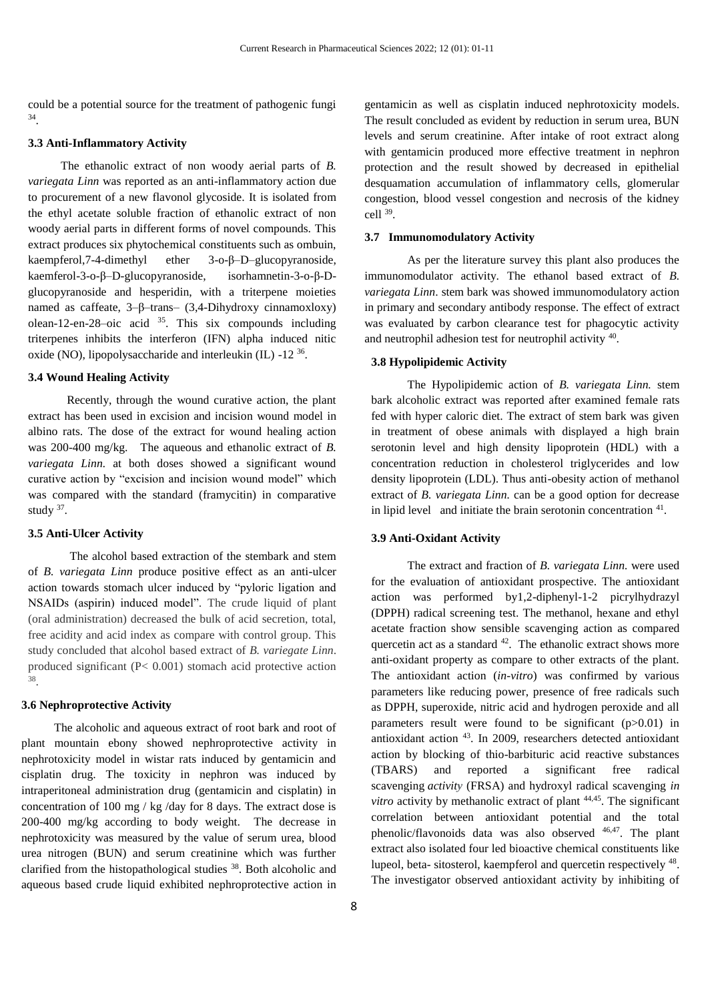could be a potential source for the treatment of pathogenic fungi 34 .

# **3.3 Anti-Inflammatory Activity**

 The ethanolic extract of non woody aerial parts of *B. variegata Linn* was reported as an anti-inflammatory action due to procurement of a new flavonol glycoside. It is isolated from the ethyl acetate soluble fraction of ethanolic extract of non woody aerial parts in different forms of novel compounds. This extract produces six phytochemical constituents such as ombuin, kaempferol,7-4-dimethyl ether 3-o-β–D–glucopyranoside, kaemferol-3-o-β–D-glucopyranoside, isorhamnetin-3-o-β-Dglucopyranoside and hesperidin, with a triterpene moieties named as caffeate, 3–β–trans– (3,4-Dihydroxy cinnamoxloxy) olean-12-en-28–oic acid  $35$ . This six compounds including triterpenes inhibits the interferon (IFN) alpha induced nitic oxide (NO), lipopolysaccharide and interleukin (IL) -12<sup>36</sup>.

# **3.4 Wound Healing Activity**

 Recently, through the wound curative action, the plant extract has been used in excision and incision wound model in albino rats. The dose of the extract for wound healing action was 200-400 mg/kg. The aqueous and ethanolic extract of *B. variegata Linn.* at both doses showed a significant wound curative action by "excision and incision wound model" which was compared with the standard (framycitin) in comparative study 37.

#### **3.5 Anti-Ulcer Activity**

 The alcohol based extraction of the stembark and stem of *B. variegata Linn* produce positive effect as an anti-ulcer action towards stomach ulcer induced by "pyloric ligation and NSAIDs (aspirin) induced model". The crude liquid of plant (oral administration) decreased the bulk of acid secretion, total, free acidity and acid index as compare with control group. This study concluded that alcohol based extract of *B. variegate Linn*. produced significant (P< 0.001) stomach acid protective action 38 .

# **3.6 Nephroprotective Activity**

 The alcoholic and aqueous extract of root bark and root of plant mountain ebony showed nephroprotective activity in nephrotoxicity model in wistar rats induced by gentamicin and cisplatin drug. The toxicity in nephron was induced by intraperitoneal administration drug (gentamicin and cisplatin) in concentration of 100 mg / kg /day for 8 days. The extract dose is 200-400 mg/kg according to body weight. The decrease in nephrotoxicity was measured by the value of serum urea, blood urea nitrogen (BUN) and serum creatinine which was further clarified from the histopathological studies <sup>38</sup>. Both alcoholic and aqueous based crude liquid exhibited nephroprotective action in

gentamicin as well as cisplatin induced nephrotoxicity models. The result concluded as evident by reduction in serum urea, BUN levels and serum creatinine. After intake of root extract along with gentamicin produced more effective treatment in nephron protection and the result showed by decreased in epithelial desquamation accumulation of inflammatory cells, glomerular congestion, blood vessel congestion and necrosis of the kidney cell <sup>39</sup> .

# **3.7 Immunomodulatory Activity**

 As per the literature survey this plant also produces the immunomodulator activity. The ethanol based extract of *B. variegata Linn*. stem bark was showed immunomodulatory action in primary and secondary antibody response. The effect of extract was evaluated by carbon clearance test for phagocytic activity and neutrophil adhesion test for neutrophil activity 40.

# **3.8 Hypolipidemic Activity**

The Hypolipidemic action of *B. variegata Linn.* stem bark alcoholic extract was reported after examined female rats fed with hyper caloric diet. The extract of stem bark was given in treatment of obese animals with displayed a high brain serotonin level and high density lipoprotein (HDL) with a concentration reduction in cholesterol triglycerides and low density lipoprotein (LDL). Thus anti-obesity action of methanol extract of *B. variegata Linn.* can be a good option for decrease in lipid level and initiate the brain serotonin concentration <sup>41</sup>.

# **3.9 Anti-Oxidant Activity**

The extract and fraction of *B. variegata Linn.* were used for the evaluation of antioxidant prospective. The antioxidant action was performed by1,2-diphenyl-1-2 picrylhydrazyl (DPPH) radical screening test. The methanol, hexane and ethyl acetate fraction show sensible scavenging action as compared quercetin act as a standard  $42$ . The ethanolic extract shows more anti-oxidant property as compare to other extracts of the plant. The antioxidant action (*in-vitro*) was confirmed by various parameters like reducing power, presence of free radicals such as DPPH, superoxide, nitric acid and hydrogen peroxide and all parameters result were found to be significant (p>0.01) in antioxidant action <sup>43</sup>. In 2009, researchers detected antioxidant action by blocking of thio-barbituric acid reactive substances (TBARS) and reported a significant free radical scavenging *activity* (FRSA) and hydroxyl radical scavenging *in vitro* activity by methanolic extract of plant <sup>44,45</sup>. The significant correlation between antioxidant potential and the total phenolic/flavonoids data was also observed 46,47. The plant extract also isolated four led bioactive chemical constituents like lupeol, beta- sitosterol, kaempferol and quercetin respectively <sup>48</sup>. The investigator observed antioxidant activity by inhibiting of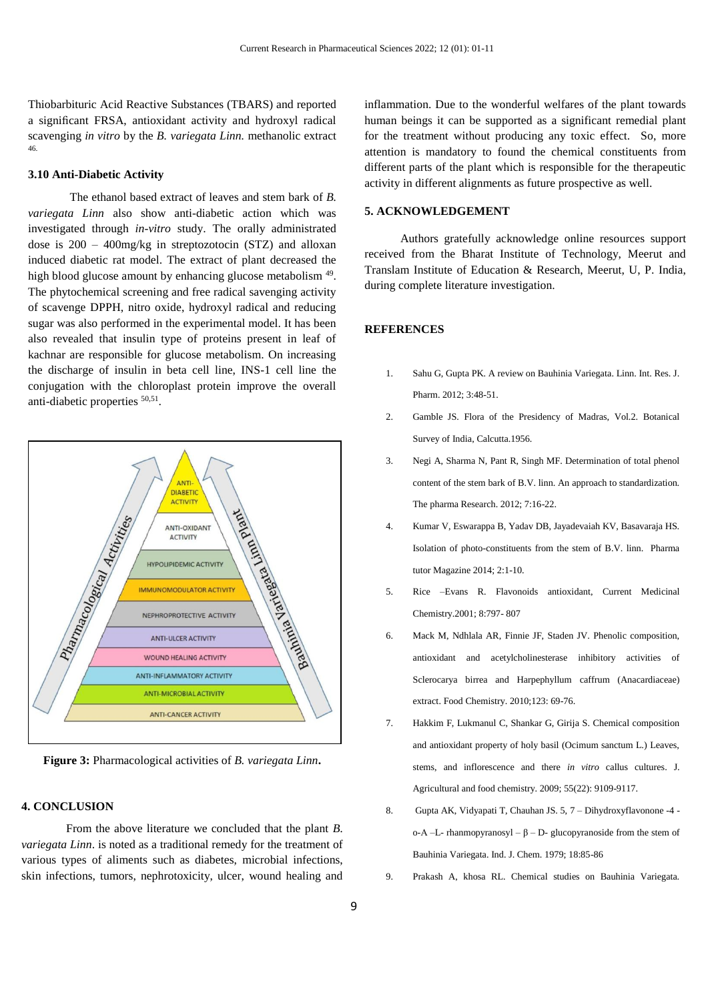Thiobarbituric Acid Reactive Substances (TBARS) and reported a significant FRSA, antioxidant activity and hydroxyl radical scavenging *in vitro* by the *B. variegata Linn.* methanolic extract 46.

# **3.10 Anti-Diabetic Activity**

 The ethanol based extract of leaves and stem bark of *B. variegata Linn* also show anti-diabetic action which was investigated through *in-vitro* study. The orally administrated dose is 200 – 400mg/kg in streptozotocin (STZ) and alloxan induced diabetic rat model. The extract of plant decreased the high blood glucose amount by enhancing glucose metabolism<sup>49</sup>. The phytochemical screening and free radical savenging activity of scavenge DPPH, nitro oxide, hydroxyl radical and reducing sugar was also performed in the experimental model. It has been also revealed that insulin type of proteins present in leaf of kachnar are responsible for glucose metabolism. On increasing the discharge of insulin in beta cell line, INS-1 cell line the conjugation with the chloroplast protein improve the overall anti-diabetic properties <sup>50,51</sup>.



**Figure 3:** Pharmacological activities of *B. variegata Linn***.**

# **4. CONCLUSION**

 From the above literature we concluded that the plant *B. variegata Linn*. is noted as a traditional remedy for the treatment of various types of aliments such as diabetes, microbial infections, skin infections, tumors, nephrotoxicity, ulcer, wound healing and inflammation. Due to the wonderful welfares of the plant towards human beings it can be supported as a significant remedial plant for the treatment without producing any toxic effect. So, more attention is mandatory to found the chemical constituents from different parts of the plant which is responsible for the therapeutic activity in different alignments as future prospective as well.

# **5. ACKNOWLEDGEMENT**

 Authors gratefully acknowledge online resources support received from the Bharat Institute of Technology, Meerut and Translam Institute of Education & Research, Meerut, U, P. India, during complete literature investigation.

#### **REFERENCES**

- 1. Sahu G, Gupta PK. A review on Bauhinia Variegata. Linn. Int. Res. J. Pharm. 2012; 3:48-51.
- 2. Gamble JS. Flora of the Presidency of Madras, Vol.2. Botanical Survey of India, Calcutta.1956.
- 3. Negi A, Sharma N, Pant R, Singh MF. Determination of total phenol content of the stem bark of B.V. linn. An approach to standardization. The pharma Research. 2012; 7:16-22.
- 4. Kumar V, Eswarappa B, Yadav DB, Jayadevaiah KV, Basavaraja HS. Isolation of photo-constituents from the stem of B.V. linn. Pharma tutor Magazine 2014; 2:1-10.
- 5. Rice –Evans R. Flavonoids antioxidant, Current Medicinal Chemistry.2001; 8:797- 807
- 6. Mack M, Ndhlala AR, Finnie JF, Staden JV. Phenolic composition, antioxidant and acetylcholinesterase inhibitory activities of Sclerocarya birrea and Harpephyllum caffrum (Anacardiaceae) extract. Food Chemistry. 2010;123: 69-76.
- 7. Hakkim F, Lukmanul C, Shankar G, Girija S. Chemical composition and antioxidant property of holy basil (Ocimum sanctum L.) Leaves, stems, and inflorescence and there *in vitro* callus cultures. J. Agricultural and food chemistry. 2009; 55(22): 9109-9117.
- 8. Gupta AK, Vidyapati T, Chauhan JS. 5, 7 Dihydroxyflavonone -4 o-Α –L- rhanmopyranosyl – β – D- glucopyranoside from the stem of Bauhinia Variegata. Ind. J. Chem. 1979; 18:85-86
- 9. Prakash A, khosa RL. Chemical studies on Bauhinia Variegata.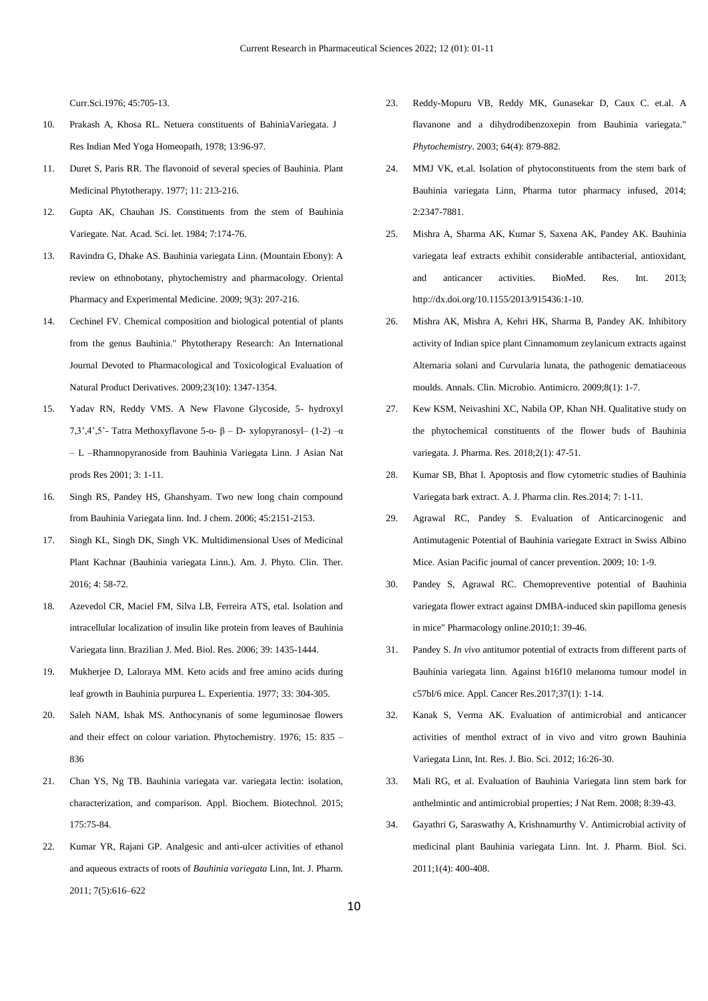Curr.Sci.1976; 45:705-13.

- 10. Prakash A, Khosa RL. Netuera constituents of BahiniaVariegata. J Res Indian Med Yoga Homeopath, 1978; 13:96-97.
- 11. Duret S, Paris RR. The flavonoid of several species of Bauhinia. Plant Medicinal Phytotherapy. 1977; 11: 213-216.
- 12. Gupta AK, Chauhan JS. Constituents from the stem of Bauhinia Variegate. Nat. Acad. Sci. let. 1984; 7:174-76.
- 13. Ravindra G, Dhake AS. Bauhinia variegata Linn. (Mountain Ebony): A review on ethnobotany, phytochemistry and pharmacology. Oriental Pharmacy and Experimental Medicine. 2009; 9(3): 207-216.
- 14. Cechinel FV. Chemical composition and biological potential of plants from the genus Bauhinia." Phytotherapy Research: An International Journal Devoted to Pharmacological and Toxicological Evaluation of Natural Product Derivatives. 2009;23(10): 1347-1354.
- 15. Yadav RN, Reddy VMS. A New Flavone Glycoside, 5- hydroxyl 7,3',4',5'- Tatra Methoxyflavone 5-o- β – D- xylopyranosyl– (1-2) –α – L –Rhamnopyranoside from Bauhinia Variegata Linn. J Asian Nat prods Res 2001; 3: 1-11.
- 16. Singh RS, Pandey HS, Ghanshyam. Two new long chain compound from Bauhinia Variegata linn. Ind. J chem. 2006; 45:2151-2153.
- 17. Singh KL, Singh DK, Singh VK. Multidimensional Uses of Medicinal Plant Kachnar (Bauhinia variegata Linn.). Am. J. Phyto. Clin. Ther. 2016; 4: 58-72.
- 18. Azevedol CR, Maciel FM, Silva LB, Ferreira ATS, etal. Isolation and intracellular localization of insulin like protein from leaves of Bauhinia Variegata linn. Brazilian J. Med. Biol. Res. 2006; 39: 1435-1444.
- 19. Mukherjee D, Laloraya MM. Keto acids and free amino acids during leaf growth in Bauhinia purpurea L. Experientia. 1977; 33: 304-305.
- 20. Saleh NAM, Ishak MS. Anthocynanis of some leguminosae flowers and their effect on colour variation. Phytochemistry. 1976; 15: 835 – 836
- 21. Chan YS, Ng TB. Bauhinia variegata var. variegata lectin: isolation, characterization, and comparison. Appl. Biochem. Biotechnol. 2015; 175:75-84.
- 22. Kumar YR, Rajani GP. Analgesic and anti-ulcer activities of ethanol and aqueous extracts of roots of *Bauhinia variegata* Linn, Int. J. Pharm. 2011; 7(5):616–622
- 23. Reddy-Mopuru VB, Reddy MK, Gunasekar D, Caux C. et.al. A flavanone and a dihydrodibenzoxepin from Bauhinia variegata." *Phytochemistry*. 2003; 64(4): 879-882.
- 24. MMJ VK, et.al. Isolation of phytoconstituents from the stem bark of Bauhinia variegata Linn, Pharma tutor pharmacy infused, 2014; 2:2347-7881.
- 25. Mishra A, Sharma AK, Kumar S, Saxena AK, Pandey AK. Bauhinia variegata leaf extracts exhibit considerable antibacterial, antioxidant, and anticancer activities. BioMed. Res. Int. 2013; http://dx.doi.org/10.1155/2013/915436:1-10.
- 26. Mishra AK, Mishra A, Kehri HK, Sharma B, Pandey AK. Inhibitory activity of Indian spice plant Cinnamomum zeylanicum extracts against Alternaria solani and Curvularia lunata, the pathogenic dematiaceous moulds. Annals. Clin. Microbio. Antimicro. 2009;8(1): 1-7.
- 27. Kew KSM, Neivashini XC, Nabila OP, Khan NH. Qualitative study on the phytochemical constituents of the flower buds of Bauhinia variegata. J. Pharma. Res. 2018;2(1): 47-51.
- 28. Kumar SB, Bhat I. Apoptosis and flow cytometric studies of Bauhinia Variegata bark extract. A. J. Pharma clin. Res.2014; 7: 1-11.
- 29. Agrawal RC, Pandey S. Evaluation of Anticarcinogenic and Antimutagenic Potential of Bauhinia variegate Extract in Swiss Albino Mice. Asian Pacific journal of cancer prevention. 2009; 10: 1-9.
- 30. Pandey S, Agrawal RC. Chemopreventive potential of Bauhinia variegata flower extract against DMBA-induced skin papilloma genesis in mice" Pharmacology online.2010;1: 39-46.
- 31. Pandey S. *In vivo* antitumor potential of extracts from different parts of Bauhinia variegata linn. Against b16f10 melanoma tumour model in c57bl/6 mice. Appl. Cancer Res.2017;37(1): 1-14.
- 32. Kanak S, Verma AK. Evaluation of antimicrobial and anticancer activities of menthol extract of in vivo and vitro grown Bauhinia Variegata Linn, Int. Res. J. Bio. Sci. 2012; 16:26-30.
- 33. Mali RG, et al. Evaluation of Bauhinia Variegata linn stem bark for anthelmintic and antimicrobial properties; J Nat Rem. 2008; 8:39-43.
- 34. Gayathri G, Saraswathy A, Krishnamurthy V. Antimicrobial activity of medicinal plant Bauhinia variegata Linn. Int. J. Pharm. Biol. Sci. 2011;1(4): 400-408.